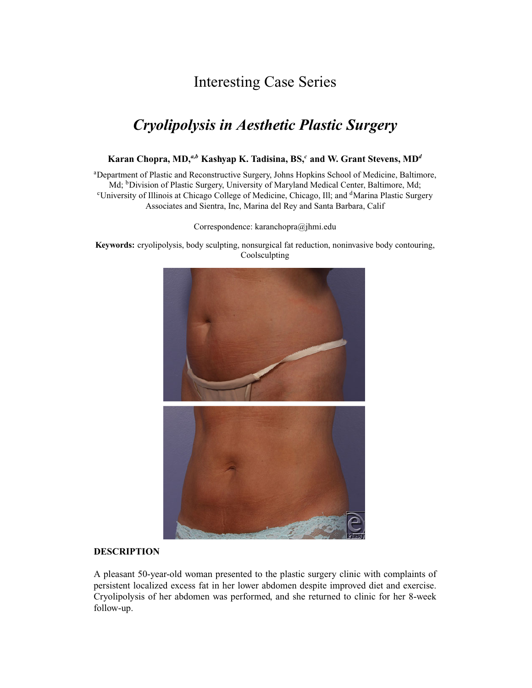## Interesting Case Series

# *Cryolipolysis in Aesthetic Plastic Surgery*

### **Karan Chopra, MD,***a,b* **Kashyap K. Tadisina, BS,***<sup>c</sup>* **and W. Grant Stevens, MD***<sup>d</sup>*

<sup>a</sup>Department of Plastic and Reconstructive Surgery, Johns Hopkins School of Medicine, Baltimore, Md; <sup>b</sup>Division of Plastic Surgery, University of Maryland Medical Center, Baltimore, Md; <sup>c</sup>University of Illinois at Chicago College of Medicine, Chicago, Ill; and <sup>d</sup>Marina Plastic Surgery Associates and Sientra, Inc, Marina del Rey and Santa Barbara, Calif

Correspondence: karanchopra@jhmi.edu

**Keywords:** cryolipolysis, body sculpting, nonsurgical fat reduction, noninvasive body contouring, Coolsculpting



#### **DESCRIPTION**

A pleasant 50-year-old woman presented to the plastic surgery clinic with complaints of persistent localized excess fat in her lower abdomen despite improved diet and exercise. Cryolipolysis of her abdomen was performed, and she returned to clinic for her 8-week follow-up.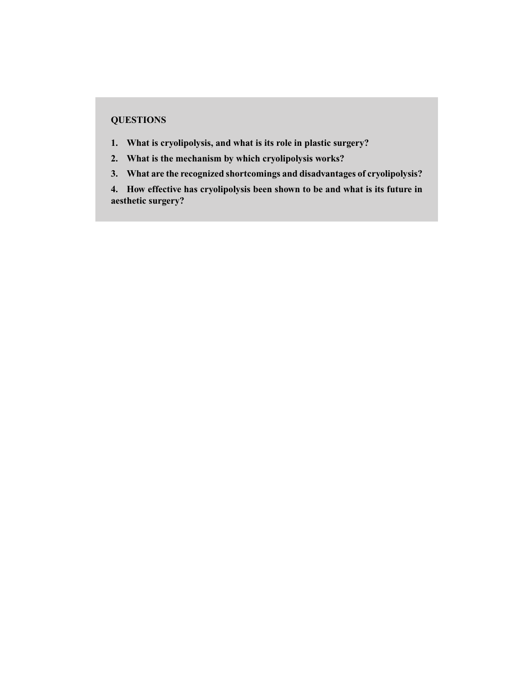### **QUESTIONS**

- **1. What is cryolipolysis, and what is its role in plastic surgery?**
- **2. What is the mechanism by which cryolipolysis works?**
- **3. What are the recognized shortcomings and disadvantages of cryolipolysis?**

**4. How effective has cryolipolysis been shown to be and what is its future in aesthetic surgery?**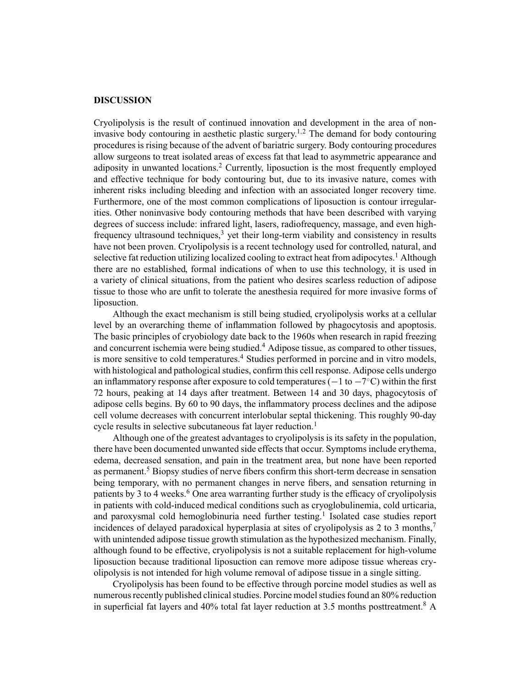#### **DISCUSSION**

Cryolipolysis is the result of continued innovation and development in the area of noninvasive body contouring in aesthetic plastic surgery.<sup>1,2</sup> The demand for body contouring procedures is rising because of the advent of bariatric surgery. Body contouring procedures allow surgeons to treat isolated areas of excess fat that lead to asymmetric appearance and adiposity in unwanted locations.<sup>2</sup> Currently, liposuction is the most frequently employed and effective technique for body contouring but, due to its invasive nature, comes with inherent risks including bleeding and infection with an associated longer recovery time. Furthermore, one of the most common complications of liposuction is contour irregularities. Other noninvasive body contouring methods that have been described with varying degrees of success include: infrared light, lasers, radiofrequency, massage, and even highfrequency ultrasound techniques, $3$  yet their long-term viability and consistency in results have not been proven. Cryolipolysis is a recent technology used for controlled, natural, and selective fat reduction utilizing localized cooling to extract heat from adipocytes.<sup>1</sup> Although there are no established, formal indications of when to use this technology, it is used in a variety of clinical situations, from the patient who desires scarless reduction of adipose tissue to those who are unfit to tolerate the anesthesia required for more invasive forms of liposuction.

Although the exact mechanism is still being studied, cryolipolysis works at a cellular level by an overarching theme of inflammation followed by phagocytosis and apoptosis. The basic principles of cryobiology date back to the 1960s when research in rapid freezing and concurrent ischemia were being studied.<sup>4</sup> Adipose tissue, as compared to other tissues, is more sensitive to cold temperatures.<sup>4</sup> Studies performed in porcine and in vitro models, with histological and pathological studies, confirm this cell response. Adipose cells undergo an inflammatory response after exposure to cold temperatures ( $-1$  to  $-7^{\circ}$ C) within the first 72 hours, peaking at 14 days after treatment. Between 14 and 30 days, phagocytosis of adipose cells begins. By 60 to 90 days, the inflammatory process declines and the adipose cell volume decreases with concurrent interlobular septal thickening. This roughly 90-day cycle results in selective subcutaneous fat layer reduction.<sup>1</sup>

Although one of the greatest advantages to cryolipolysis is its safety in the population, there have been documented unwanted side effects that occur. Symptoms include erythema, edema, decreased sensation, and pain in the treatment area, but none have been reported as permanent.<sup>5</sup> Biopsy studies of nerve fibers confirm this short-term decrease in sensation being temporary, with no permanent changes in nerve fibers, and sensation returning in patients by 3 to 4 weeks.<sup>6</sup> One area warranting further study is the efficacy of cryolipolysis in patients with cold-induced medical conditions such as cryoglobulinemia, cold urticaria, and paroxysmal cold hemoglobinuria need further testing.<sup>1</sup> Isolated case studies report incidences of delayed paradoxical hyperplasia at sites of cryolipolysis as 2 to 3 months,<sup>7</sup> with unintended adipose tissue growth stimulation as the hypothesized mechanism. Finally, although found to be effective, cryolipolysis is not a suitable replacement for high-volume liposuction because traditional liposuction can remove more adipose tissue whereas cryolipolysis is not intended for high volume removal of adipose tissue in a single sitting.

Cryolipolysis has been found to be effective through porcine model studies as well as numerous recently published clinical studies. Porcine model studies found an 80% reduction in superficial fat layers and 40% total fat layer reduction at 3.5 months posttreatment.<sup>8</sup> A